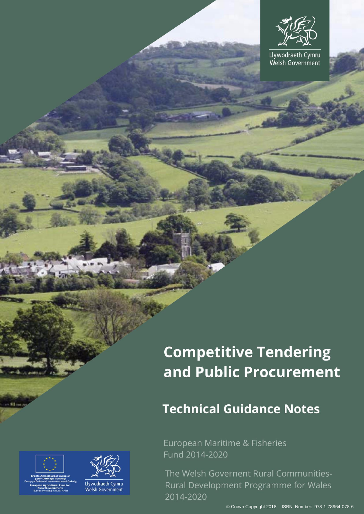Llywodraeth Cymru Welsh Government

# **Competitive Tendering** and Public Procurement

# **Technical Guidance Notes**

European Maritime & Fisheries Fund 2014-2020

The Welsh Governent Rural Communities-Rural Development Programme for Wales 2014-2020



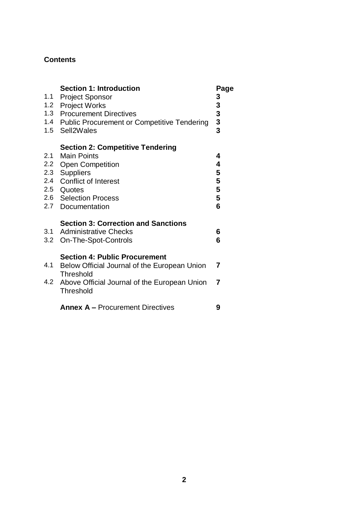# **Contents**

| 1.1        | <b>Section 1: Introduction</b><br><b>Project Sponsor</b><br>1.2 Project Works<br>1.3 Procurement Directives<br>1.4 Public Procurement or Competitive Tendering<br>1.5 Sell2Wales                  | Page<br>333333                  |
|------------|---------------------------------------------------------------------------------------------------------------------------------------------------------------------------------------------------|---------------------------------|
| 2.1<br>2.2 | <b>Section 2: Competitive Tendering</b><br><b>Main Points</b><br><b>Open Competition</b><br>2.3 Suppliers<br>2.4 Conflict of Interest<br>2.5 Quotes<br>2.6 Selection Process<br>2.7 Documentation | 4<br>4<br>5<br>5<br>5<br>5<br>6 |
| 3.1        | <b>Section 3: Correction and Sanctions</b><br><b>Administrative Checks</b><br>3.2 On-The-Spot-Controls                                                                                            | 6<br>6                          |
| 4.1        | <b>Section 4: Public Procurement</b><br>Below Official Journal of the European Union<br>Threshold<br>4.2 Above Official Journal of the European Union<br>Threshold                                | 7<br>7                          |
|            | <b>Annex A - Procurement Directives</b>                                                                                                                                                           | 9                               |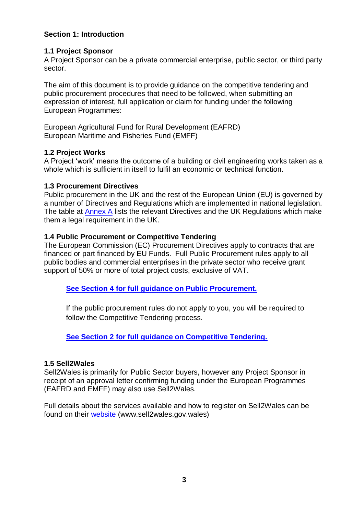### **Section 1: Introduction**

#### **1.1 Project Sponsor**

A Project Sponsor can be a private commercial enterprise, public sector, or third party sector.

The aim of this document is to provide guidance on the competitive tendering and public procurement procedures that need to be followed, when submitting an expression of interest, full application or claim for funding under the following European Programmes:

<span id="page-2-1"></span>European Agricultural Fund for Rural Development (EAFRD) European Maritime and Fisheries Fund (EMFF)

#### **1.2 Project Works**

A Project 'work' means the outcome of a building or civil engineering works taken as a whole which is sufficient in itself to fulfil an economic or technical function.

#### **1.3 Procurement Directives**

Public procurement in the UK and the rest of the European Union (EU) is governed by a number of Directives and Regulations which are implemented in national legislation. The table at [Annex A](#page-8-0) lists the relevant Directives and the UK Regulations which make them a legal requirement in the UK.

#### **1.4 Public Procurement or Competitive Tendering**

The European Commission (EC) Procurement Directives apply to contracts that are financed or part financed by EU Funds. Full Public Procurement rules apply to all public bodies and commercial enterprises in the private sector who receive grant support of 50% or more of total project costs, exclusive of VAT.

**See Section 4 [for full guidance on Public Procurement.](#page-5-0)** 

If the public procurement rules do not apply to you, you will be required to follow the Competitive Tendering process.

**See Section 2 [for full guidance on Competitive Tendering.](#page-2-0)**

#### **1.5 Sell2Wales**

Sell2Wales is primarily for Public Sector buyers, however any Project Sponsor in receipt of an approval letter confirming funding under the European Programmes (EAFRD and EMFF) may also use Sell2Wales.

<span id="page-2-0"></span>Full details about the services available and how to register on Sell2Wales can be found on their [website](https://www.sell2wales.gov.wales/Register/Register_Start.aspx) (www.sell2wales.gov.wales)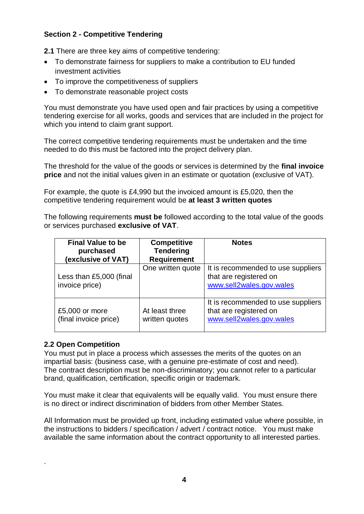# **Section 2 - Competitive Tendering**

**2.1** There are three key aims of competitive tendering:

- To demonstrate fairness for suppliers to make a contribution to EU funded investment activities
- To improve the competitiveness of suppliers
- To demonstrate reasonable project costs

You must demonstrate you have used open and fair practices by using a competitive tendering exercise for all works, goods and services that are included in the project for which you intend to claim grant support.

The correct competitive tendering requirements must be undertaken and the time needed to do this must be factored into the project delivery plan.

The threshold for the value of the goods or services is determined by the **final invoice price** and not the initial values given in an estimate or quotation (exclusive of VAT).

For example, the quote is £4,990 but the invoiced amount is £5,020, then the competitive tendering requirement would be **at least 3 written quotes**

The following requirements **must be** followed according to the total value of the goods or services purchased **exclusive of VAT**.

| <b>Final Value to be</b><br>purchased<br>(exclusive of VAT) | <b>Competitive</b><br><b>Tendering</b><br><b>Requirement</b> | <b>Notes</b>                                                                             |
|-------------------------------------------------------------|--------------------------------------------------------------|------------------------------------------------------------------------------------------|
| Less than £5,000 (final<br>invoice price)                   | One written quote                                            | It is recommended to use suppliers<br>that are registered on<br>www.sell2wales.gov.wales |
| £5,000 or more<br>(final invoice price)                     | At least three<br>written quotes                             | It is recommended to use suppliers<br>that are registered on<br>www.sell2wales.gov.wales |

#### **2.2 Open Competition**

.

You must put in place a process which assesses the merits of the quotes on an impartial basis: (business case, with a genuine pre-estimate of cost and need). The contract description must be non-discriminatory; you cannot refer to a particular brand, qualification, certification, specific origin or trademark.

You must make it clear that equivalents will be equally valid. You must ensure there is no direct or indirect discrimination of bidders from other Member States.

All Information must be provided up front, including estimated value where possible, in the instructions to bidders / specification / advert / contract notice. You must make available the same information about the contract opportunity to all interested parties.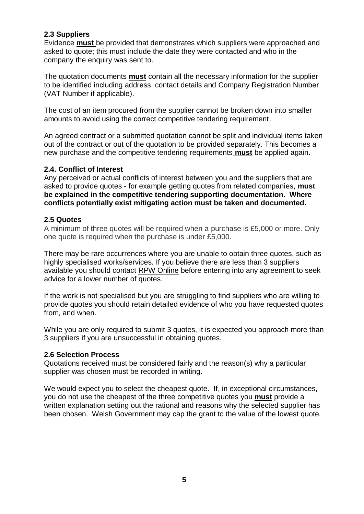#### **2.3 Suppliers**

Evidence **must** be provided that demonstrates which suppliers were approached and asked to quote; this must include the date they were contacted and who in the company the enquiry was sent to.

The quotation documents **must** contain all the necessary information for the supplier to be identified including address, contact details and Company Registration Number (VAT Number if applicable).

The cost of an item procured from the supplier cannot be broken down into smaller amounts to avoid using the correct competitive tendering requirement.

An agreed contract or a submitted quotation cannot be split and individual items taken out of the contract or out of the quotation to be provided separately. This becomes a new purchase and the competitive tendering requirements **must** be applied again.

#### **2.4. Conflict of Interest**

Any perceived or actual conflicts of interest between you and the suppliers that are asked to provide quotes - for example getting quotes from related companies, **must be explained in the competitive tendering supporting documentation. Where conflicts potentially exist mitigating action must be taken and documented.**

#### **2.5 Quotes**

A minimum of three quotes will be required when a purchase is £5,000 or more. Only one quote is required when the purchase is under £5,000.

There may be rare occurrences where you are unable to obtain three quotes, such as highly specialised works/services. If you believe there are less than 3 suppliers available you should contact [RPW Online](https://beta.gov.wales/contact-rural-payments-wales-rpw-online) before entering into any agreement to seek advice for a lower number of quotes.

If the work is not specialised but you are struggling to find suppliers who are willing to provide quotes you should retain detailed evidence of who you have requested quotes from, and when.

While you are only required to submit 3 quotes, it is expected you approach more than 3 suppliers if you are unsuccessful in obtaining quotes.

#### **2.6 Selection Process**

Quotations received must be considered fairly and the reason(s) why a particular supplier was chosen must be recorded in writing.

We would expect you to select the cheapest quote. If, in exceptional circumstances, you do not use the cheapest of the three competitive quotes you **must** provide a written explanation setting out the rational and reasons why the selected supplier has been chosen. Welsh Government may cap the grant to the value of the lowest quote.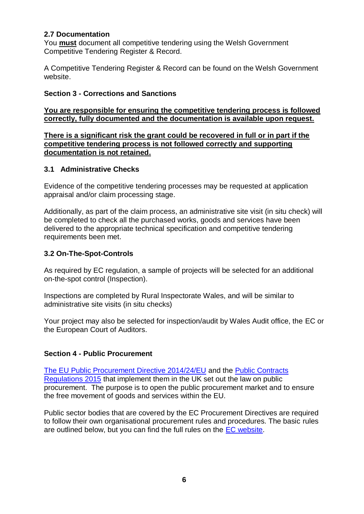#### **2.7 Documentation**

You **must** document all competitive tendering using the Welsh Government Competitive Tendering Register & Record.

A Competitive Tendering Register & Record can be found on the Welsh Government website.

#### **Section 3 - Corrections and Sanctions**

**You are responsible for ensuring the competitive tendering process is followed correctly, fully documented and the documentation is available upon request.** 

**There is a significant risk the grant could be recovered in full or in part if the competitive tendering process is not followed correctly and supporting documentation is not retained.**

#### **3.1 Administrative Checks**

Evidence of the competitive tendering processes may be requested at application appraisal and/or claim processing stage.

Additionally, as part of the claim process, an administrative site visit (in situ check) will be completed to check all the purchased works, goods and services have been delivered to the appropriate technical specification and competitive tendering requirements been met.

#### **3.2 On-The-Spot-Controls**

As required by EC regulation, a sample of projects will be selected for an additional on-the-spot control (Inspection).

Inspections are completed by Rural Inspectorate Wales, and will be similar to administrative site visits (in situ checks)

Your project may also be selected for inspection/audit by Wales Audit office, the EC or the European Court of Auditors.

#### <span id="page-5-0"></span>**Section 4 - Public Procurement**

The EU [Public Procurement Directive 2014/24/EU](https://eur-lex.europa.eu/legal-content/EN/TXT/?uri=celex%3A32014L0024) and the [Public Contracts](http://www.legislation.gov.uk/uksi/2015/102/contents/made)  [Regulations 2015](http://www.legislation.gov.uk/uksi/2015/102/contents/made) that implement them in the UK set out the law on public procurement. The purpose is to open the public procurement market and to ensure the free movement of goods and services within the EU.

Public sector bodies that are covered by the EC Procurement Directives are required to follow their own organisational procurement rules and procedures. The basic rules are outlined below, but you can find the full rules on the [EC website.](http://ec.europa.eu/growth/single-market/public-procurement/rules-implementation_en)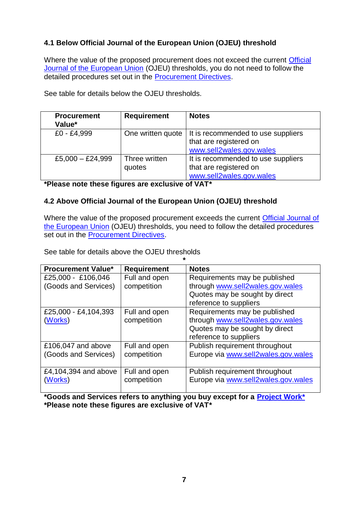# **4.1 Below Official Journal of the European Union (OJEU) threshold**

Where the value of the proposed procurement does not exceed the current Official [Journal of the European Union](https://www.ojec.com/) (OJEU) thresholds, you do not need to follow the detailed procedures set out in the [Procurement Directives.](#page-8-0)

See table for details below the OJEU thresholds.

| <b>Procurement</b><br>Value* | <b>Requirement</b>      | <b>Notes</b>                                                                                                   |
|------------------------------|-------------------------|----------------------------------------------------------------------------------------------------------------|
| £0 - £4,999                  |                         | One written quote $ $ It is recommended to use suppliers<br>that are registered on<br>www.sell2wales.gov.wales |
| £5,000 $-$ £24,999           | Three written<br>quotes | It is recommended to use suppliers<br>that are registered on<br>www.sell2wales.gov.wales                       |

**\*Please note these figures are exclusive of VAT\***

# **4.2 Above Official Journal of the European Union (OJEU) threshold**

Where the value of the proposed procurement exceeds the current [Official Journal of](https://www.ojec.com/)  [the European Union](https://www.ojec.com/) (OJEU) thresholds, you need to follow the detailed procedures set out in the [Procurement Directives.](#page-8-0)

See table for details above the OJEU thresholds

| $\star$                   |                    |                                     |  |  |
|---------------------------|--------------------|-------------------------------------|--|--|
| <b>Procurement Value*</b> | <b>Requirement</b> | <b>Notes</b>                        |  |  |
| £25,000 - £106,046        | Full and open      | Requirements may be published       |  |  |
| (Goods and Services)      | competition        | through www.sell2wales.gov.wales    |  |  |
|                           |                    | Quotes may be sought by direct      |  |  |
|                           |                    | reference to suppliers              |  |  |
| £25,000 - £4,104,393      | Full and open      | Requirements may be published       |  |  |
| (Works)                   | competition        | through www.sell2wales.gov.wales    |  |  |
|                           |                    | Quotes may be sought by direct      |  |  |
|                           |                    | reference to suppliers              |  |  |
| £106,047 and above        | Full and open      | Publish requirement throughout      |  |  |
| (Goods and Services)      | competition        | Europe via www.sell2wales.gov.wales |  |  |
|                           |                    |                                     |  |  |
| £4,104,394 and above      | Full and open      | Publish requirement throughout      |  |  |
| (Works)                   | competition        | Europe via www.sell2wales.gov.wales |  |  |
|                           |                    |                                     |  |  |

**\*Goods and Services refers to anything you buy except for a [Project Work\\*](#page-2-1) \*Please note these figures are exclusive of VAT\***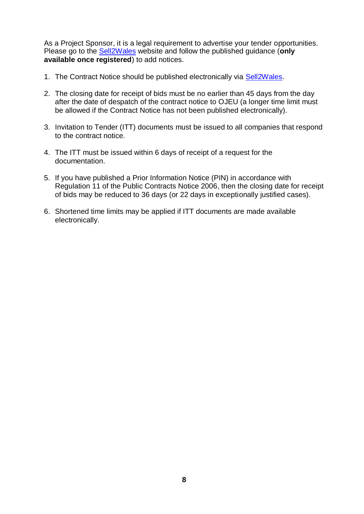As a Project Sponsor, it is a legal requirement to advertise your tender opportunities. Please go to the [Sell2Wales](http://www.sell2wales.gov.wales/) website and follow the published guidance (**only available once registered**) to add notices.

- 1. The Contract Notice should be published electronically via [Sell2Wales.](http://www.sell2wales.gov.wales/)
- 2. The closing date for receipt of bids must be no earlier than 45 days from the day after the date of despatch of the contract notice to OJEU (a longer time limit must be allowed if the Contract Notice has not been published electronically).
- 3. Invitation to Tender (ITT) documents must be issued to all companies that respond to the contract notice.
- 4. The ITT must be issued within 6 days of receipt of a request for the documentation.
- 5. If you have published a Prior Information Notice (PIN) in accordance with Regulation 11 of the Public Contracts Notice 2006, then the closing date for receipt of bids may be reduced to 36 days (or 22 days in exceptionally justified cases).
- 6. Shortened time limits may be applied if ITT documents are made available electronically.